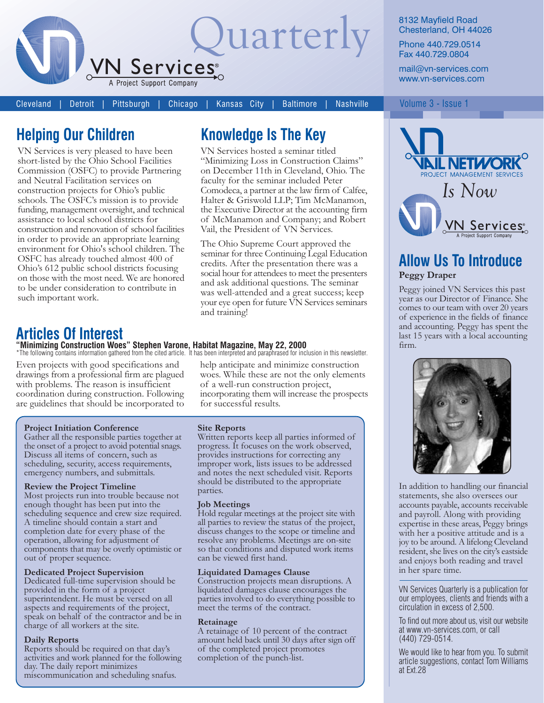

Cleveland Detroit Pittsburgh Chicago

**Nashville** Kansas City **Baltimore** 

"Minimizing Loss in Construction Claims"

on December 11th in Cleveland, Ohio. The

Comodeca, a partner at the law firm of Calfee,

Halter & Griswold LLP; Tim McManamon,

the Executive Director at the accounting firm

of McManamon and Company; and Robert

seminar for three Continuing Legal Education

social hour for attendees to meet the presenters

credits. After the presentation there was a

and ask additional questions. The seminar

was well-attended and a great success; keep

your eye open for future VN Services seminars

faculty for the seminar included Peter

Vail, the President of VN Services.

The Ohio Supreme Court approved the

**Knowledge Is The Key** VN Services hosted a seminar titled

## **Helping Our Children**

VN Services is very pleased to have been short-listed by the Ohio School Facilities Commission (OSFC) to provide Partnering and Neutral Facilitation services on construction projects for Ohio's public schools. The OSFC's mission is to provide funding, management oversight, and technical assistance to local school districts for construction and renovation of school facilities in order to provide an appropriate learning environment for Ohio's school children. The OSFC has already touched almost 400 of Ohio's 612 public school districts focusing on those with the most need. We are honored to be under consideration to contribute in such important work.

### **Articles Of Interest**

### "Minimizing Construction Woes" Stephen Varone, Habitat Magazine, May 22, 2000<br>\*The following contains information gathered from the cited article. It has been interpreted and paraphrased for inclusion in this newsletter.

Even projects with good specifications and drawings from a professional firm are plagued with problems. The reason is insufficient coordination during construction. Following are guidelines that should be incorporated to

#### **Project Initiation Conference**

Gather all the responsible parties together at the onset of a project to avoid potential snags. Discuss all items of concern, such as scheduling, security, access requirements, emergency numbers, and submittals.

#### **Review the Project Timeline**

Most projects run into trouble because not enough thought has been put into the scheduling sequence and crew size required. A timeline should contain a start and completion date for every phase of the operation, allowing for adjustment of components that may be overly optimistic or out of proper sequence.

#### **Dedicated Project Supervision**

Dedicated full-time supervision should be provided in the form of a project superintendent. He must be versed on all aspects and requirements of the project, speak on behalf of the contractor and be in charge of all workers at the site.

#### **Daily Reports**

Reports should be required on that day's activities and work planned for the following day. The daily report minimizes miscommunication and scheduling snafus.

help anticipate and minimize construction woes. While these are not the only elements of a well-run construction project, incorporating them will increase the prospects for successful results.

#### **Site Reports**

and training!

Written reports keep all parties informed of progress. It focuses on the work observed, provides instructions for correcting any improper work, lists issues to be addressed and notes the next scheduled visit. Reports should be distributed to the appropriate parties.

#### **Job Meetings**

Hold regular meetings at the project site with all parties to review the status of the project, discuss changes to the scope or timeline and resolve any problems. Meetings are on-site so that conditions and disputed work items can be viewed first hand.

#### **Liquidated Damages Clause**

Construction projects mean disruptions. A liquidated damages clause encourages the parties involved to do everything possible to meet the terms of the contract.

#### Retainage

A retainage of 10 percent of the contract amount held back until 30 days after sign off of the completed project promotes completion of the punch-list.

#### 8132 Mayfield Road Chesterland, OH 44026

Phone 440.729.0514 Fax 440.729.0804

mail@vn-services.com www.vn-services.com

#### Volume 3 - Issue 1



### **Allow Us To Introduce Peggy Draper**

Peggy joined VN Services this past year as our Director of Finance. She comes to our team with over 20 years of experience in the fields of finance and accounting. Peggy has spent the last 15 years with a local accounting firm



In addition to handling our financial statements, she also oversees our accounts payable, accounts receivable and payroll. Along with providing expertise in these areas, Peggy brings with her a positive attitude and is a joy to be around. A lifelong Cleveland resident, she lives on the city's eastside and enjoys both reading and travel in her spare time.

VN Services Quarterly is a publication for our employees, clients and friends with a circulation in excess of 2,500.

To find out more about us, visit our website at www.vn-services.com, or call  $(440)$  729-0514.

We would like to hear from you. To submit article suggestions, contact Tom Williams at Ext.28